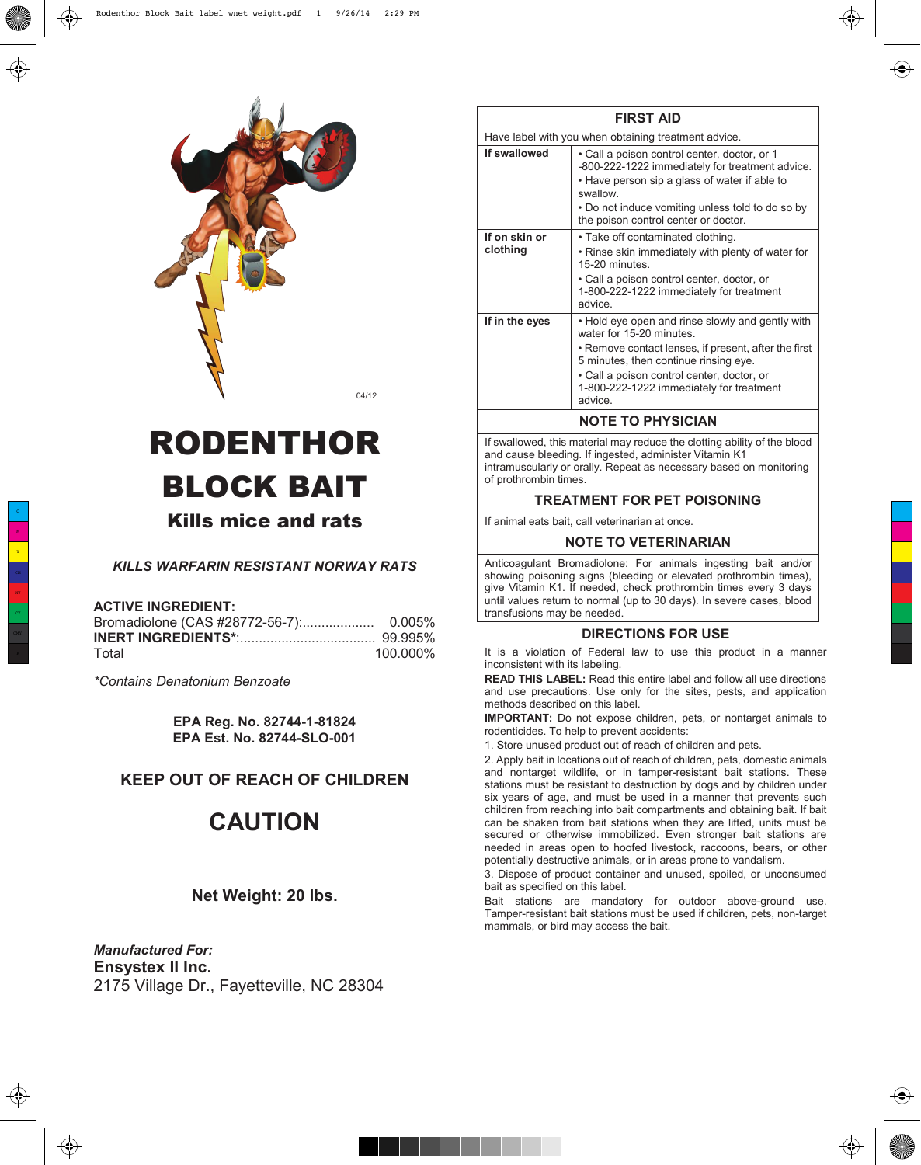

# RODENTHOR BLOCK BAIT

# Kills mice and rats

# *KILLS WARFARIN RESISTANT NORWAY RATS*

#### **ACTIVE INGREDIENT:**

| Total | 100.000% |
|-------|----------|

*\*Contains Denatonium Benzoate*

**EPA Reg. No. 82744-1-81824 EPA Est. No. 82744-SLO-001**

# **KEEP OUT OF REACH OF CHILDREN**

# **CAUTION**

## **Net Weight: 20 lbs.**

*Manufactured For:* **Ensystex II Inc.** 2175 Village Dr., Fayetteville, NC 28304

|                           | <b>FIRST AID</b>                                                                                                                                                                                                |
|---------------------------|-----------------------------------------------------------------------------------------------------------------------------------------------------------------------------------------------------------------|
|                           | Have label with you when obtaining treatment advice.                                                                                                                                                            |
| If swallowed              | • Call a poison control center, doctor, or 1<br>-800-222-1222 immediately for treatment advice.<br>• Have person sip a glass of water if able to<br>swallow<br>• Do not induce vomiting unless told to do so by |
|                           | the poison control center or doctor.                                                                                                                                                                            |
| If on skin or<br>clothing | • Take off contaminated clothing.<br>. Rinse skin immediately with plenty of water for<br>15-20 minutes                                                                                                         |
|                           | • Call a poison control center, doctor, or<br>1-800-222-1222 immediately for treatment<br>advice                                                                                                                |
| If in the eyes            | • Hold eye open and rinse slowly and gently with<br>water for 15-20 minutes.                                                                                                                                    |
|                           | • Remove contact lenses, if present, after the first<br>5 minutes, then continue rinsing eye.                                                                                                                   |
|                           | • Call a poison control center, doctor, or<br>1-800-222-1222 immediately for treatment<br>advice.                                                                                                               |
|                           | <b>NOTE TO PHYSICIAN</b>                                                                                                                                                                                        |
|                           | If swallowed this material may reduce the clotting ability of the blood                                                                                                                                         |

If swallowed, this material may reduce the clotting ability of the blood and cause bleeding. If ingested, administer Vitamin K1 intramuscularly or orally. Repeat as necessary based on monitoring of prothrombin times.

# **TREATMENT FOR PET POISONING**

If animal eats bait, call veterinarian at once.

#### **NOTE TO VETERINARIAN**

Anticoagulant Bromadiolone: For animals ingesting bait and/or showing poisoning signs (bleeding or elevated prothrombin times), give Vitamin K1. If needed, check prothrombin times every 3 days until values return to normal (up to 30 days). In severe cases, blood transfusions may be needed.

#### **DIRECTIONS FOR USE**

It is a violation of Federal law to use this product in a manner inconsistent with its labeling.

**READ THIS LABEL:** Read this entire label and follow all use directions and use precautions. Use only for the sites, pests, and application methods described on this label.

**IMPORTANT:** Do not expose children, pets, or nontarget animals to rodenticides. To help to prevent accidents:

1. Store unused product out of reach of children and pets.

2. Apply bait in locations out of reach of children, pets, domestic animals and nontarget wildlife, or in tamper-resistant bait stations. These stations must be resistant to destruction by dogs and by children under six years of age, and must be used in a manner that prevents such children from reaching into bait compartments and obtaining bait. If bait can be shaken from bait stations when they are lifted, units must be secured or otherwise immobilized. Even stronger bait stations are needed in areas open to hoofed livestock, raccoons, bears, or other potentially destructive animals, or in areas prone to vandalism.

3. Dispose of product container and unused, spoiled, or unconsumed bait as specified on this label.

Bait stations are mandatory for outdoor above-ground use. Tamper-resistant bait stations must be used if children, pets, non-target mammals, or bird may access the bait.